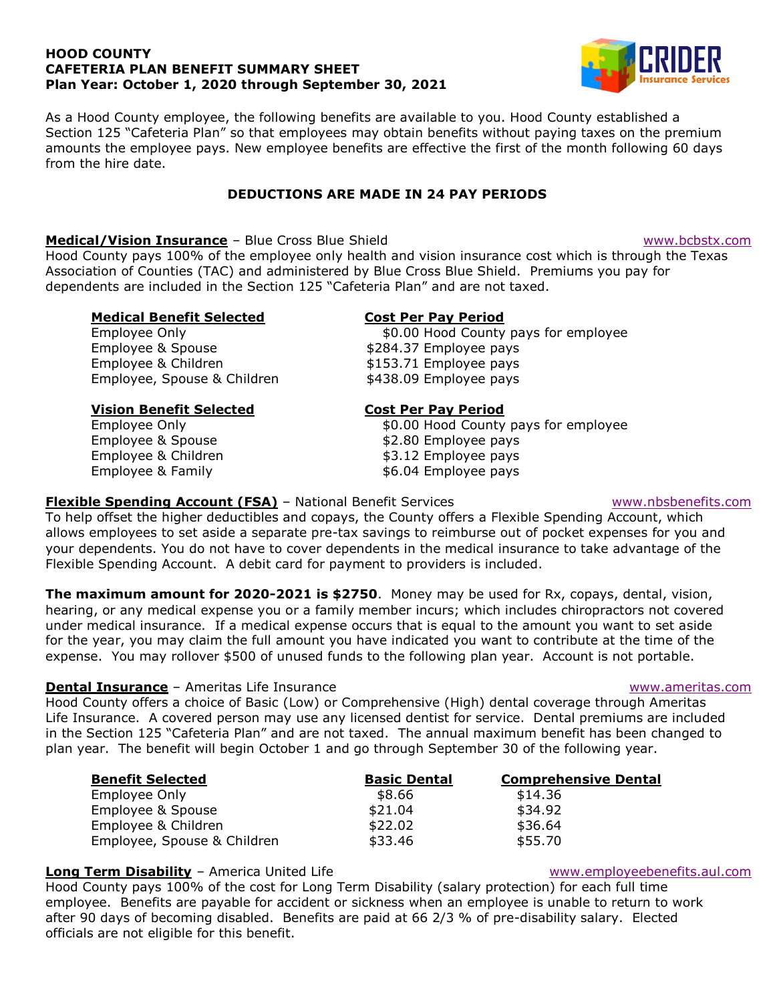### HOOD COUNTY CAFETERIA PLAN BENEFIT SUMMARY SHEET Plan Year: October 1, 2020 through September 30, 2021



As a Hood County employee, the following benefits are available to you. Hood County established a As a Hood County employee, the following benefits are available to you. Hood County established a<br>Section 125 "Cafeteria Plan" so that employees may obtain benefits without paying taxes on the premium amounts the employee pays. New employee benefits are effective the first of the month following 60 days from the hire date. amounts the employee pays. New employee benefits are effective the first of the month following 60 days<br>from the hire date.<br>**DEDUCTIONS ARE MADE IN 24 PAY PERIODS**<br>Medical/Vision Insurance - Blue Cross Blue Shield<br>Hood Cou

## DEDUCTIONS ARE MADE IN 24 PAY PERIODS

## Medical/Vision Insurance - Blue Cross Blue Shield

Association of Counties (TAC) and administered by Blue Cross Blue Shield. Premiums you pay for dependents are included in the Section 125 "Cafeteria Plan" and are not taxed.<br>**Medical Benefit Selected Cost Per Pay Period** dependents are included in the Section 125 "Cafeteria Plan" and are not taxed.

## Medical Benefit Selected

Employee Only Employee & Spouse Employee & Children Employee, Spouse & Children

Vision Benefit Selected Employee Only Employee & Spouse Employee & Children Employee & Family

## Cost Per Pay Period

\$0.00 Hood County pays for employee \$284.37 Employee pays \$153.71 Employee pays \$438.09 Employee pays for employee<br>for employee<br>www.nbsbenefits.com

## Cost Per Pay Period

\$0.00 Hood County pays for employee \$2.80 Employee pays \$3.12 Employee pays \$6.04 Employee pays

#### Flexible Spending Account (FSA) - National Benefit Services

To help offset the higher deductibles and copays, the County offers a Flexible Spending Account, which allows employees to set aside a separate pre-tax savings to reimburse out of pocket expenses for you and your dependents. You do not have to cover dependents in the medical insurance to take advantage of the<br>Flexible Spending Account. A debit card for payment to providers is included. Flexible Spending Account. A debit card for payment to providers is included.

**The maximum amount for 2020-2021 is \$2750**. Money may be used for Rx, copays, dental, vision, hearing, or any medical expense you or a family member incurs; which includes chiropractors not covered under medical insurance. If a medical expense occurs that is equal to the amount you want to set as for the year, you may claim the full amount you have indicated you want to contribute at the time of the expense. You may rollover \$500 of unused funds to the following plan year. Account is not portable. ed for Rx, copays, dental, vision,<br>ncludes chiropractors not coveree<br>le amount you want to set aside

### **Dental Insurance - Ameritas Life Insurance**

<u>Dental Insurance</u> – Ameritas Life Insurance<br>Hood County offers a choice of Basic (Low) or Comprehensive (High) dental coverage through Ameritas Hood County offers a choice of Basic (Low) or Comprehensive (High) dental coverage through Ameritas<br>Life Insurance. A covered person may use any licensed dentist for service. Dental premiums are included Life Insurance. A covered person may use any licensed dentist for service. Dental premiums are included<br>in the Section 125 "Cafeteria Plan" and are not taxed. The annual maximum benefit has been changed to in the Section 125 "Cafeteria Plan" and are not taxed. The annual maximum benefit has been ch<br>plan year. The benefit will begin October 1 and go through September 30 of the following year.

| <b>Benefit Selected</b>     | <b>Basic Dental</b> | <b>Comprehensive Dental</b> |
|-----------------------------|---------------------|-----------------------------|
| Employee Only               | \$8.66              | \$14.36                     |
| Employee & Spouse           | \$21.04             | \$34.92                     |
| Employee & Children         | \$22.02             | \$36.64                     |
| Employee, Spouse & Children | \$33.46             | \$55.70                     |

# Long Term Disability - America United Life

Hood County pays 100% of the cost for Long Term Disability (salary protection) for each full time employee. Benefits are payable for accident or sickness when an employee is unable to return to work after 90 days of becoming disabled. Benefits are paid at 66 2/3 % of pre-disability salary. Elected officials are not eligible for this benefit.

#### www.ameritas.com

www.employeebenefits.aul.com

# www.bcbstx.com